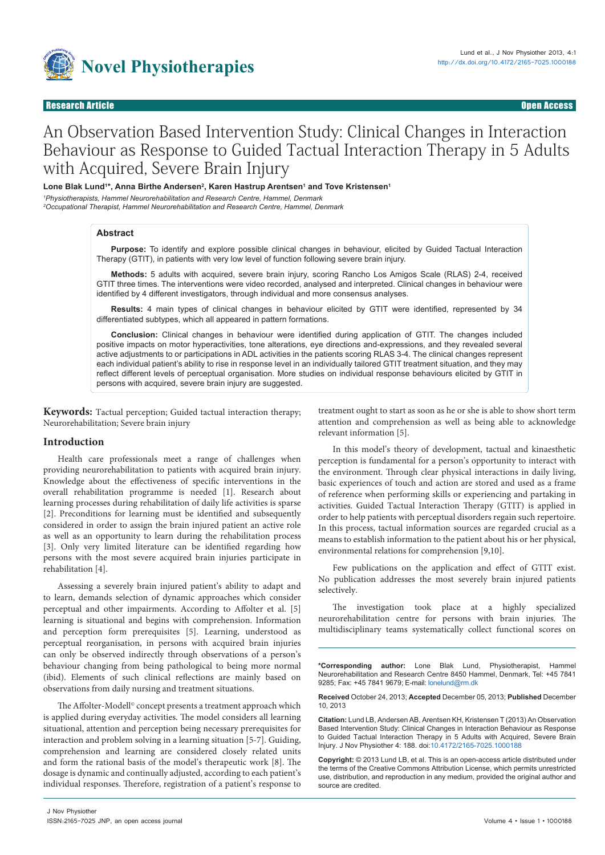

# An Observation Based Intervention Study: Clinical Changes in Interaction Behaviour as Response to Guided Tactual Interaction Therapy in 5 Adults with Acquired, Severe Brain Injury

# Lone Blak Lund'\*, Anna Birthe Andersen<sup>2</sup>, Karen Hastrup Arentsen' and Tove Kristensen'

*1 Physiotherapists, Hammel Neurorehabilitation and Research Centre, Hammel, Denmark 2 Occupational Therapist, Hammel Neurorehabilitation and Research Centre, Hammel, Denmark*

#### **Abstract**

**Purpose:** To identify and explore possible clinical changes in behaviour, elicited by Guided Tactual Interaction Therapy (GTIT), in patients with very low level of function following severe brain injury.

**Methods:** 5 adults with acquired, severe brain injury, scoring Rancho Los Amigos Scale (RLAS) 2-4, received GTIT three times. The interventions were video recorded, analysed and interpreted. Clinical changes in behaviour were identified by 4 different investigators, through individual and more consensus analyses.

**Results:** 4 main types of clinical changes in behaviour elicited by GTIT were identified, represented by 34 differentiated subtypes, which all appeared in pattern formations.

**Conclusion:** Clinical changes in behaviour were identified during application of GTIT. The changes included positive impacts on motor hyperactivities, tone alterations, eye directions and-expressions, and they revealed several active adjustments to or participations in ADL activities in the patients scoring RLAS 3-4. The clinical changes represent each individual patient's ability to rise in response level in an individually tailored GTIT treatment situation, and they may reflect different levels of perceptual organisation. More studies on individual response behaviours elicited by GTIT in persons with acquired, severe brain injury are suggested.

**Keywords:** Tactual perception; Guided tactual interaction therapy; Neurorehabilitation; Severe brain injury

treatment ought to start as soon as he or she is able to show short term attention and comprehension as well as being able to acknowledge relevant information [5].

# **Introduction**

Health care professionals meet a range of challenges when providing neurorehabilitation to patients with acquired brain injury. Knowledge about the effectiveness of specific interventions in the overall rehabilitation programme is needed [1]. Research about learning processes during rehabilitation of daily life activities is sparse [2]. Preconditions for learning must be identified and subsequently considered in order to assign the brain injured patient an active role as well as an opportunity to learn during the rehabilitation process [3]. Only very limited literature can be identified regarding how persons with the most severe acquired brain injuries participate in rehabilitation [4].

Assessing a severely brain injured patient's ability to adapt and to learn, demands selection of dynamic approaches which consider perceptual and other impairments. According to Affolter et al. [5] learning is situational and begins with comprehension. Information and perception form prerequisites [5]. Learning, understood as perceptual reorganisation, in persons with acquired brain injuries can only be observed indirectly through observations of a person's behaviour changing from being pathological to being more normal (ibid). Elements of such clinical reflections are mainly based on observations from daily nursing and treatment situations.

The Affolter-Modell<sup>®</sup> concept presents a treatment approach which is applied during everyday activities. The model considers all learning situational, attention and perception being necessary prerequisites for interaction and problem solving in a learning situation [5-7]. Guiding, comprehension and learning are considered closely related units and form the rational basis of the model's therapeutic work [8]. The dosage is dynamic and continually adjusted, according to each patient's individual responses. Therefore, registration of a patient's response to

In this model's theory of development, tactual and kinaesthetic perception is fundamental for a person's opportunity to interact with the environment. Through clear physical interactions in daily living, basic experiences of touch and action are stored and used as a frame of reference when performing skills or experiencing and partaking in activities. Guided Tactual Interaction Therapy (GTIT) is applied in order to help patients with perceptual disorders regain such repertoire. In this process, tactual information sources are regarded crucial as a means to establish information to the patient about his or her physical, environmental relations for comprehension [9,10].

Few publications on the application and effect of GTIT exist. No publication addresses the most severely brain injured patients selectively.

The investigation took place at a highly specialized neurorehabilitation centre for persons with brain injuries. The multidisciplinary teams systematically collect functional scores on

**\*Corresponding author:** Lone Blak Lund, Physiotherapist, Hammel Neurorehabilitation and Research Centre 8450 Hammel, Denmark, Tel: +45 7841 9285; Fax: +45 7841 9679; E-mail: lonelund@rm.dk

**Received** October 24, 2013; **Accepted** December 05, 2013; **Published** December 10, 2013

**Citation:** Lund LB, Andersen AB, Arentsen KH, Kristensen T (2013) An Observation Based Intervention Study: Clinical Changes in Interaction Behaviour as Response to Guided Tactual Interaction Therapy in 5 Adults with Acquired, Severe Brain Injury. J Nov Physiother 4: 188. doi:[10.4172/2165-7025.1000188](http://dx.doi.org/10.4172/2165-7025.1000188)

**Copyright:** © 2013 Lund LB, et al. This is an open-access article distributed under the terms of the Creative Commons Attribution License, which permits unrestricted use, distribution, and reproduction in any medium, provided the original author and source are credited.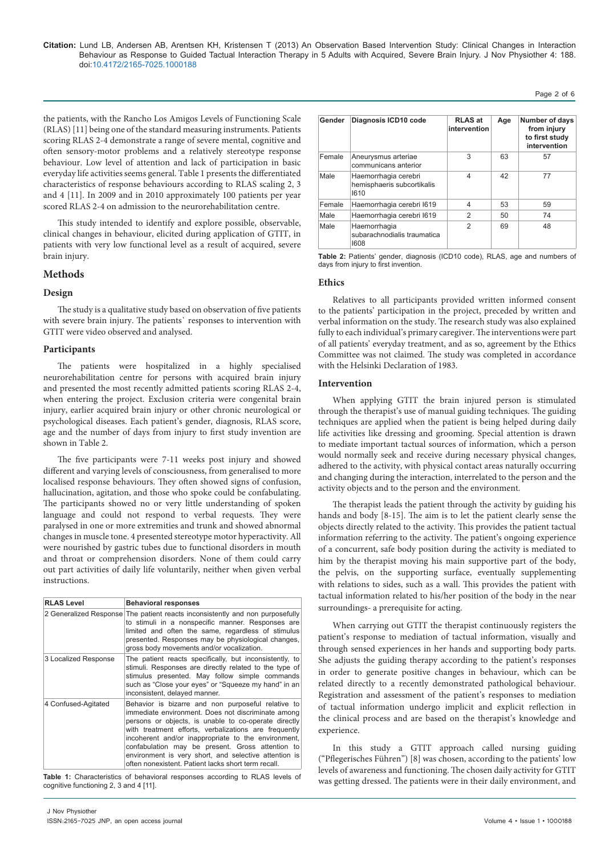the patients, with the Rancho Los Amigos Levels of Functioning Scale (RLAS) [11] being one of the standard measuring instruments. Patients scoring RLAS 2-4 demonstrate a range of severe mental, cognitive and often sensory-motor problems and a relatively stereotype response behaviour. Low level of attention and lack of participation in basic everyday life activities seems general. Table 1 presents the differentiated characteristics of response behaviours according to RLAS scaling 2, 3 and 4 [11]. In 2009 and in 2010 approximately 100 patients per year scored RLAS 2-4 on admission to the neurorehabilitation centre.

This study intended to identify and explore possible, observable, clinical changes in behaviour, elicited during application of GTIT, in patients with very low functional level as a result of acquired, severe brain injury.

# **Methods**

# **Design**

The study is a qualitative study based on observation of five patients with severe brain injury. The patients` responses to intervention with GTIT were video observed and analysed.

## **Participants**

The patients were hospitalized in a highly specialised neurorehabilitation centre for persons with acquired brain injury and presented the most recently admitted patients scoring RLAS 2-4, when entering the project. Exclusion criteria were congenital brain injury, earlier acquired brain injury or other chronic neurological or psychological diseases. Each patient's gender, diagnosis, RLAS score, age and the number of days from injury to first study invention are shown in Table 2.

The five participants were 7-11 weeks post injury and showed different and varying levels of consciousness, from generalised to more localised response behaviours. They often showed signs of confusion, hallucination, agitation, and those who spoke could be confabulating. The participants showed no or very little understanding of spoken language and could not respond to verbal requests. They were paralysed in one or more extremities and trunk and showed abnormal changes in muscle tone. 4 presented stereotype motor hyperactivity. All were nourished by gastric tubes due to functional disorders in mouth and throat or comprehension disorders. None of them could carry out part activities of daily life voluntarily, neither when given verbal instructions.

| <b>RLAS Level</b>    | <b>Behavioral responses</b>                                                                                                                                                                                                                                                                                                                                                                                                                          |
|----------------------|------------------------------------------------------------------------------------------------------------------------------------------------------------------------------------------------------------------------------------------------------------------------------------------------------------------------------------------------------------------------------------------------------------------------------------------------------|
|                      | 2 Generalized Response The patient reacts inconsistently and non purposefully<br>to stimuli in a nonspecific manner. Responses are<br>limited and often the same, regardless of stimulus<br>presented. Responses may be physiological changes,<br>gross body movements and/or vocalization.                                                                                                                                                          |
| 3 Localized Response | The patient reacts specifically, but inconsistently, to<br>stimuli. Responses are directly related to the type of<br>stimulus presented. May follow simple commands<br>such as "Close your eyes" or "Squeeze my hand" in an<br>inconsistent, delayed manner.                                                                                                                                                                                         |
| 4 Confused-Agitated  | Behavior is bizarre and non purposeful relative to<br>immediate environment. Does not discriminate among<br>persons or objects, is unable to co-operate directly<br>with treatment efforts, verbalizations are frequently<br>incoherent and/or inappropriate to the environment,<br>confabulation may be present. Gross attention to<br>environment is very short, and selective attention is<br>often nonexistent. Patient lacks short term recall. |

**Table 1:** Characteristics of behavioral responses according to RLAS levels of cognitive functioning 2, 3 and 4 [11].

| Gender | Diagnosis ICD10 code                                       | <b>RLAS at</b><br>intervention | Age | Number of days<br>from injury<br>to first study<br>intervention |
|--------|------------------------------------------------------------|--------------------------------|-----|-----------------------------------------------------------------|
| Female | Aneurysmus arteriae<br>communicans anterior                | 3                              | 63  | 57                                                              |
| Male   | Haemorrhagia cerebri<br>hemisphaeris subcortikalis<br>1610 | 4                              | 42  | 77                                                              |
| Female | Haemorrhagia cerebri 1619                                  | 4                              | 53  | 59                                                              |
| Male   | Haemorrhagia cerebri 1619                                  | $\mathfrak{p}$                 | 50  | 74                                                              |
| Male   | Haemorrhagia<br>subarachnodialis traumatica<br>1608        | $\mathfrak{p}$                 | 69  | 48                                                              |

Page 2 of 6

**Table 2:** Patients' gender, diagnosis (ICD10 code), RLAS, age and numbers of days from injury to first invention.

## **Ethics**

Relatives to all participants provided written informed consent to the patients' participation in the project, preceded by written and verbal information on the study. The research study was also explained fully to each individual's primary caregiver. The interventions were part of all patients' everyday treatment, and as so, agreement by the Ethics Committee was not claimed. The study was completed in accordance with the Helsinki Declaration of 1983.

#### **Intervention**

When applying GTIT the brain injured person is stimulated through the therapist's use of manual guiding techniques. The guiding techniques are applied when the patient is being helped during daily life activities like dressing and grooming. Special attention is drawn to mediate important tactual sources of information, which a person would normally seek and receive during necessary physical changes, adhered to the activity, with physical contact areas naturally occurring and changing during the interaction, interrelated to the person and the activity objects and to the person and the environment.

The therapist leads the patient through the activity by guiding his hands and body [8-15]. The aim is to let the patient clearly sense the objects directly related to the activity. This provides the patient tactual information referring to the activity. The patient's ongoing experience of a concurrent, safe body position during the activity is mediated to him by the therapist moving his main supportive part of the body, the pelvis, on the supporting surface, eventually supplementing with relations to sides, such as a wall. This provides the patient with tactual information related to his/her position of the body in the near surroundings- a prerequisite for acting.

When carrying out GTIT the therapist continuously registers the patient's response to mediation of tactual information, visually and through sensed experiences in her hands and supporting body parts. She adjusts the guiding therapy according to the patient's responses in order to generate positive changes in behaviour, which can be related directly to a recently demonstrated pathological behaviour. Registration and assessment of the patient's responses to mediation of tactual information undergo implicit and explicit reflection in the clinical process and are based on the therapist's knowledge and experience.

In this study a GTIT approach called nursing guiding ("Pflegerisches Führen") [8] was chosen, according to the patients' low levels of awareness and functioning. The chosen daily activity for GTIT was getting dressed. The patients were in their daily environment, and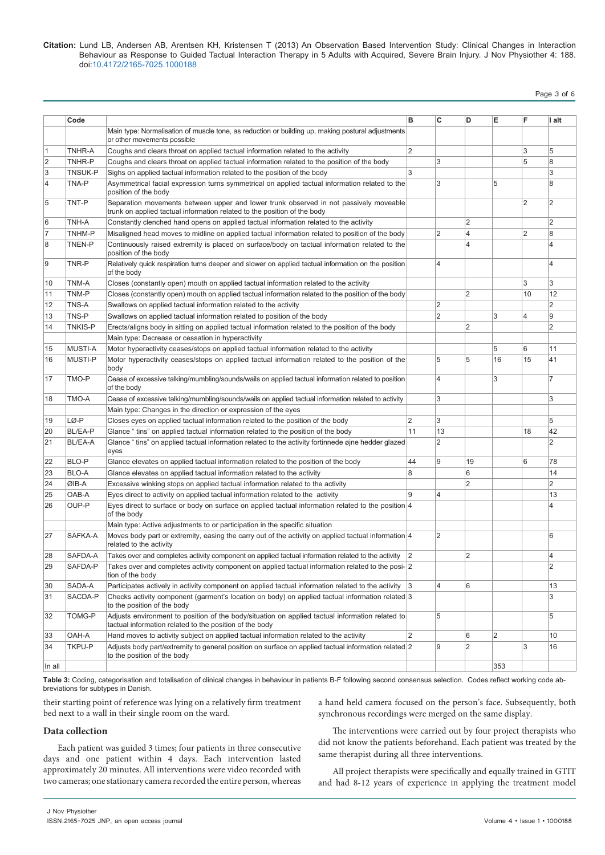# Page 3 of 6

|                | Code           |                                                                                                                                                                   | в              | C              | D                       | E              | F              | I alt          |
|----------------|----------------|-------------------------------------------------------------------------------------------------------------------------------------------------------------------|----------------|----------------|-------------------------|----------------|----------------|----------------|
|                |                | Main type: Normalisation of muscle tone, as reduction or building up, making postural adjustments<br>or other movements possible                                  |                |                |                         |                |                |                |
| 1              | TNHR-A         | Coughs and clears throat on applied tactual information related to the activity                                                                                   | $\overline{2}$ |                |                         |                | 3              | 5              |
| 2              | TNHR-P         | Coughs and clears throat on applied tactual information related to the position of the body                                                                       |                | 3              |                         |                | 5              | 8              |
| 3              | TNSUK-P        | Sighs on applied tactual information related to the position of the body                                                                                          | 3              |                |                         |                |                | 3              |
| $\overline{4}$ | TNA-P          | Asymmetrical facial expression turns symmetrical on applied tactual information related to the<br>position of the body                                            |                | 3              |                         | 5              |                | 8              |
| 5              | TNT-P          | Separation movements between upper and lower trunk observed in not passively moveable<br>trunk on applied tactual information related to the position of the body |                |                |                         |                | $\overline{2}$ | $\overline{2}$ |
| 6              | TNH-A          | Constantly clenched hand opens on applied tactual information related to the activity                                                                             |                |                | $\overline{2}$          |                |                | $\overline{2}$ |
| $\overline{7}$ | TNHM-P         | Misaligned head moves to midline on applied tactual information related to position of the body                                                                   |                | $\overline{2}$ | 4                       |                | $\overline{2}$ | 8              |
| 8              | <b>TNEN-P</b>  | Continuously raised extremity is placed on surface/body on tactual information related to the<br>position of the body                                             |                |                | $\overline{\mathbf{4}}$ |                |                | 4              |
| 9              | TNR-P          | Relatively quick respiration turns deeper and slower on applied tactual information on the position<br>of the body                                                |                | $\overline{4}$ |                         |                |                | 4              |
| 10             | TNM-A          | Closes (constantly open) mouth on applied tactual information related to the activity                                                                             |                |                |                         |                | 3              | 3              |
| 11             | TNM-P          | Closes (constantly open) mouth on applied tactual information related to the position of the body                                                                 |                |                | $\overline{2}$          |                | 10             | 12             |
| 12             | TNS-A          | Swallows on applied tactual information related to the activity                                                                                                   |                | $\overline{2}$ |                         |                |                | $\overline{2}$ |
| 13             | TNS-P          | Swallows on applied tactual information related to position of the body                                                                                           |                | $\overline{2}$ |                         | 3              | 4              | 9              |
| 14             | TNKIS-P        | Erects/aligns body in sitting on applied tactual information related to the position of the body                                                                  |                |                | 2                       |                |                | $\overline{2}$ |
|                |                | Main type: Decrease or cessation in hyperactivity                                                                                                                 |                |                |                         |                |                |                |
| 15             | <b>MUSTI-A</b> | Motor hyperactivity ceases/stops on applied tactual information related to the activity                                                                           |                |                |                         | 5              | 6              | 11             |
| 16             | <b>MUSTI-P</b> | Motor hyperactivity ceases/stops on applied tactual information related to the position of the<br>body                                                            |                | 5              | 5                       | 16             | 15             | 41             |
| 17             | TMO-P          | Cease of excessive talking/mumbling/sounds/wails on applied tactual information related to position<br>of the body                                                |                | $\overline{4}$ |                         | 3              |                | $\overline{7}$ |
| 18             | TMO-A          | Cease of excessive talking/mumbling/sounds/wails on applied tactual information related to activity                                                               |                | 3              |                         |                |                | 3              |
|                |                | Main type: Changes in the direction or expression of the eyes                                                                                                     |                |                |                         |                |                |                |
| 19             | LØ-P           | Closes eyes on applied tactual information related to the position of the body                                                                                    | $\overline{2}$ | 3              |                         |                |                | 5              |
| 20             | <b>BL/EA-P</b> | Glance " tins" on applied tactual information related to the position of the body                                                                                 | 11             | 13             |                         |                | 18             | 42             |
| 21             | BL/EA-A        | Glance "tins" on applied tactual information related to the activity fortinnede gine hedder glazed<br>eyes                                                        |                | $\overline{2}$ |                         |                |                | $\overline{2}$ |
| 22             | BLO-P          | Glance elevates on applied tactual information related to the position of the body                                                                                | 44             | 9              | 19                      |                | 6              | 78             |
| 23             | BLO-A          | Glance elevates on applied tactual information related to the activity                                                                                            | 8              |                | 6                       |                |                | 14             |
| 24             | ØIB-A          | Excessive winking stops on applied tactual information related to the activity                                                                                    |                |                | $\overline{2}$          |                |                | $\overline{2}$ |
| 25             | OAB-A          | Eyes direct to activity on applied tactual information related to the activity                                                                                    | 9              | $\overline{4}$ |                         |                |                | 13             |
| 26             | OUP-P          | Eyes direct to surface or body on surface on applied tactual information related to the position $ 4 $<br>of the body                                             |                |                |                         |                |                | 4              |
|                |                | Main type: Active adjustments to or participation in the specific situation                                                                                       |                |                |                         |                |                |                |
| 27             | SAFKA-A        | Moves body part or extremity, easing the carry out of the activity on applied tactual information $ 4 $<br>related to the activity                                |                | 2              |                         |                |                | 6              |
| 28             | SAFDA-A        | Takes over and completes activity component on applied tactual information related to the activity                                                                | $\overline{2}$ |                | 2                       |                |                | 4              |
| 29             | SAFDA-P        | Takes over and completes activity component on applied tactual information related to the posi-[2]<br>tion of the body                                            |                |                |                         |                |                | 2              |
| 30             | SADA-A         | Participates actively in activity component on applied tactual information related to the activity                                                                | 3              | $\overline{4}$ | 6                       |                |                | 13             |
| 31             | SACDA-P        | Checks activity component (garment's location on body) on applied tactual information related 3<br>to the position of the body                                    |                |                |                         |                |                | 3              |
| 32             | TOMG-P         | Adjusts environment to position of the body/situation on applied tactual information related to<br>tactual information related to the position of the body        |                | 5              |                         |                |                | 5              |
| 33             | OAH-A          | Hand moves to activity subject on applied tactual information related to the activity                                                                             | $\overline{2}$ |                | 6                       | $\overline{2}$ |                | 10             |
| 34             | TKPU-P         | Adjusts body part/extremity to general position on surface on applied tactual information related 2<br>to the position of the body                                |                | 9              | $\overline{2}$          |                | 3              | 16             |
| In all         |                |                                                                                                                                                                   |                |                |                         | 353            |                |                |
|                |                |                                                                                                                                                                   |                |                |                         |                |                |                |

**Table 3:** Coding, categorisation and totalisation of clinical changes in behaviour in patients B-F following second consensus selection. Codes reflect working code abbreviations for subtypes in Danish.

their starting point of reference was lying on a relatively firm treatment bed next to a wall in their single room on the ward.

**Data collection** 

Each patient was guided 3 times; four patients in three consecutive days and one patient within 4 days. Each intervention lasted approximately 20 minutes. All interventions were video recorded with two cameras; one stationary camera recorded the entire person, whereas a hand held camera focused on the person's face. Subsequently, both synchronous recordings were merged on the same display.

The interventions were carried out by four project therapists who did not know the patients beforehand. Each patient was treated by the same therapist during all three interventions.

All project therapists were specifically and equally trained in GTIT and had 8-12 years of experience in applying the treatment model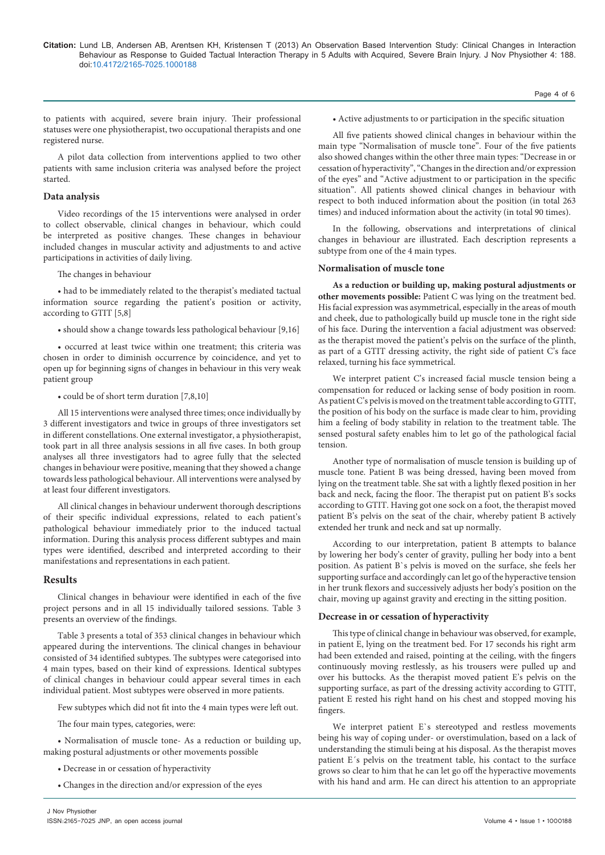to patients with acquired, severe brain injury. Their professional statuses were one physiotherapist, two occupational therapists and one registered nurse.

A pilot data collection from interventions applied to two other patients with same inclusion criteria was analysed before the project started.

# **Data analysis**

Video recordings of the 15 interventions were analysed in order to collect observable, clinical changes in behaviour, which could be interpreted as positive changes. These changes in behaviour included changes in muscular activity and adjustments to and active participations in activities of daily living.

The changes in behaviour

• had to be immediately related to the therapist's mediated tactual information source regarding the patient's position or activity, according to GTIT [5,8]

• should show a change towards less pathological behaviour [9,16]

• occurred at least twice within one treatment; this criteria was chosen in order to diminish occurrence by coincidence, and yet to open up for beginning signs of changes in behaviour in this very weak patient group

• could be of short term duration [7,8,10]

All 15 interventions were analysed three times; once individually by 3 different investigators and twice in groups of three investigators set in different constellations. One external investigator, a physiotherapist, took part in all three analysis sessions in all five cases. In both group analyses all three investigators had to agree fully that the selected changes in behaviour were positive, meaning that they showed a change towards less pathological behaviour. All interventions were analysed by at least four different investigators.

All clinical changes in behaviour underwent thorough descriptions of their specific individual expressions, related to each patient's pathological behaviour immediately prior to the induced tactual information. During this analysis process different subtypes and main types were identified, described and interpreted according to their manifestations and representations in each patient.

#### **Results**

Clinical changes in behaviour were identified in each of the five project persons and in all 15 individually tailored sessions. Table 3 presents an overview of the findings.

Table 3 presents a total of 353 clinical changes in behaviour which appeared during the interventions. The clinical changes in behaviour consisted of 34 identified subtypes. The subtypes were categorised into 4 main types, based on their kind of expressions. Identical subtypes of clinical changes in behaviour could appear several times in each individual patient. Most subtypes were observed in more patients.

Few subtypes which did not fit into the 4 main types were left out.

The four main types, categories, were:

• Normalisation of muscle tone- As a reduction or building up, making postural adjustments or other movements possible

- Decrease in or cessation of hyperactivity
- Changes in the direction and/or expression of the eyes

#### • Active adjustments to or participation in the specific situation

All five patients showed clinical changes in behaviour within the main type "Normalisation of muscle tone". Four of the five patients also showed changes within the other three main types: "Decrease in or cessation of hyperactivity", "Changes in the direction and/or expression of the eyes" and "Active adjustment to or participation in the specific situation". All patients showed clinical changes in behaviour with respect to both induced information about the position (in total 263 times) and induced information about the activity (in total 90 times).

In the following, observations and interpretations of clinical changes in behaviour are illustrated. Each description represents a subtype from one of the 4 main types.

### **Normalisation of muscle tone**

**As a reduction or building up, making postural adjustments or other movements possible:** Patient C was lying on the treatment bed. His facial expression was asymmetrical, especially in the areas of mouth and cheek, due to pathologically build up muscle tone in the right side of his face. During the intervention a facial adjustment was observed: as the therapist moved the patient's pelvis on the surface of the plinth, as part of a GTIT dressing activity, the right side of patient C's face relaxed, turning his face symmetrical.

We interpret patient C's increased facial muscle tension being a compensation for reduced or lacking sense of body position in room. As patient C's pelvis is moved on the treatment table according to GTIT, the position of his body on the surface is made clear to him, providing him a feeling of body stability in relation to the treatment table. The sensed postural safety enables him to let go of the pathological facial tension.

Another type of normalisation of muscle tension is building up of muscle tone. Patient B was being dressed, having been moved from lying on the treatment table. She sat with a lightly flexed position in her back and neck, facing the floor. The therapist put on patient B's socks according to GTIT. Having got one sock on a foot, the therapist moved patient B's pelvis on the seat of the chair, whereby patient B actively extended her trunk and neck and sat up normally.

According to our interpretation, patient B attempts to balance by lowering her body's center of gravity, pulling her body into a bent position. As patient B`s pelvis is moved on the surface, she feels her supporting surface and accordingly can let go of the hyperactive tension in her trunk flexors and successively adjusts her body's position on the chair, moving up against gravity and erecting in the sitting position.

#### **Decrease in or cessation of hyperactivity**

This type of clinical change in behaviour was observed, for example, in patient E, lying on the treatment bed. For 17 seconds his right arm had been extended and raised, pointing at the ceiling, with the fingers continuously moving restlessly, as his trousers were pulled up and over his buttocks. As the therapist moved patient E's pelvis on the supporting surface, as part of the dressing activity according to GTIT, patient E rested his right hand on his chest and stopped moving his fingers.

We interpret patient E`s stereotyped and restless movements being his way of coping under- or overstimulation, based on a lack of understanding the stimuli being at his disposal. As the therapist moves patient E´s pelvis on the treatment table, his contact to the surface grows so clear to him that he can let go off the hyperactive movements with his hand and arm. He can direct his attention to an appropriate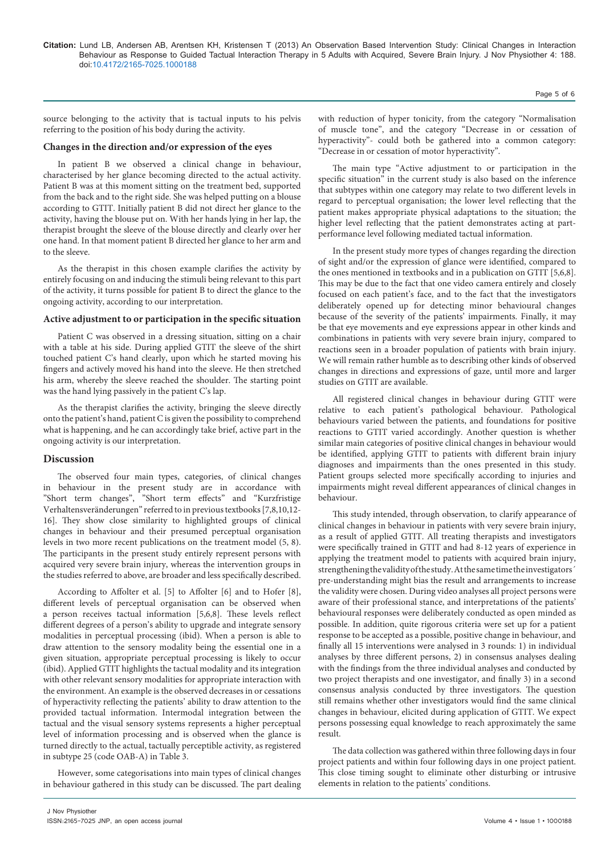source belonging to the activity that is tactual inputs to his pelvis referring to the position of his body during the activity.

#### **Changes in the direction and/or expression of the eyes**

In patient B we observed a clinical change in behaviour, characterised by her glance becoming directed to the actual activity. Patient B was at this moment sitting on the treatment bed, supported from the back and to the right side. She was helped putting on a blouse according to GTIT. Initially patient B did not direct her glance to the activity, having the blouse put on. With her hands lying in her lap, the therapist brought the sleeve of the blouse directly and clearly over her one hand. In that moment patient B directed her glance to her arm and to the sleeve.

As the therapist in this chosen example clarifies the activity by entirely focusing on and inducing the stimuli being relevant to this part of the activity, it turns possible for patient B to direct the glance to the ongoing activity, according to our interpretation.

#### **Active adjustment to or participation in the specific situation**

Patient C was observed in a dressing situation, sitting on a chair with a table at his side. During applied GTIT the sleeve of the shirt touched patient C's hand clearly, upon which he started moving his fingers and actively moved his hand into the sleeve. He then stretched his arm, whereby the sleeve reached the shoulder. The starting point was the hand lying passively in the patient C's lap.

As the therapist clarifies the activity, bringing the sleeve directly onto the patient's hand, patient C is given the possibility to comprehend what is happening, and he can accordingly take brief, active part in the ongoing activity is our interpretation.

# **Discussion**

The observed four main types, categories, of clinical changes in behaviour in the present study are in accordance with "Short term changes", "Short term effects" and "Kurzfristige Verhaltensveränderungen" referred to in previous textbooks [7,8,10,12- 16]. They show close similarity to highlighted groups of clinical changes in behaviour and their presumed perceptual organisation levels in two more recent publications on the treatment model (5, 8). The participants in the present study entirely represent persons with acquired very severe brain injury, whereas the intervention groups in the studies referred to above, are broader and less specifically described.

According to Affolter et al. [5] to Affolter [6] and to Hofer [8], different levels of perceptual organisation can be observed when a person receives tactual information [5,6,8]. These levels reflect different degrees of a person's ability to upgrade and integrate sensory modalities in perceptual processing (ibid). When a person is able to draw attention to the sensory modality being the essential one in a given situation, appropriate perceptual processing is likely to occur (ibid). Applied GTIT highlights the tactual modality and its integration with other relevant sensory modalities for appropriate interaction with the environment. An example is the observed decreases in or cessations of hyperactivity reflecting the patients' ability to draw attention to the provided tactual information. Intermodal integration between the tactual and the visual sensory systems represents a higher perceptual level of information processing and is observed when the glance is turned directly to the actual, tactually perceptible activity, as registered in subtype 25 (code OAB-A) in Table 3.

However, some categorisations into main types of clinical changes in behaviour gathered in this study can be discussed. The part dealing

with reduction of hyper tonicity, from the category "Normalisation of muscle tone", and the category "Decrease in or cessation of hyperactivity"- could both be gathered into a common category: "Decrease in or cessation of motor hyperactivity".

The main type "Active adjustment to or participation in the specific situation" in the current study is also based on the inference that subtypes within one category may relate to two different levels in regard to perceptual organisation; the lower level reflecting that the patient makes appropriate physical adaptations to the situation; the higher level reflecting that the patient demonstrates acting at partperformance level following mediated tactual information.

In the present study more types of changes regarding the direction of sight and/or the expression of glance were identified, compared to the ones mentioned in textbooks and in a publication on GTIT [5,6,8]. This may be due to the fact that one video camera entirely and closely focused on each patient's face, and to the fact that the investigators deliberately opened up for detecting minor behavioural changes because of the severity of the patients' impairments. Finally, it may be that eye movements and eye expressions appear in other kinds and combinations in patients with very severe brain injury, compared to reactions seen in a broader population of patients with brain injury. We will remain rather humble as to describing other kinds of observed changes in directions and expressions of gaze, until more and larger studies on GTIT are available.

All registered clinical changes in behaviour during GTIT were relative to each patient's pathological behaviour. Pathological behaviours varied between the patients, and foundations for positive reactions to GTIT varied accordingly. Another question is whether similar main categories of positive clinical changes in behaviour would be identified, applying GTIT to patients with different brain injury diagnoses and impairments than the ones presented in this study. Patient groups selected more specifically according to injuries and impairments might reveal different appearances of clinical changes in behaviour.

This study intended, through observation, to clarify appearance of clinical changes in behaviour in patients with very severe brain injury, as a result of applied GTIT. All treating therapists and investigators were specifically trained in GTIT and had 8-12 years of experience in applying the treatment model to patients with acquired brain injury, strengthening the validity of the study. At the same time the investigators´ pre-understanding might bias the result and arrangements to increase the validity were chosen. During video analyses all project persons were aware of their professional stance, and interpretations of the patients' behavioural responses were deliberately conducted as open minded as possible. In addition, quite rigorous criteria were set up for a patient response to be accepted as a possible, positive change in behaviour, and finally all 15 interventions were analysed in 3 rounds: 1) in individual analyses by three different persons, 2) in consensus analyses dealing with the findings from the three individual analyses and conducted by two project therapists and one investigator, and finally 3) in a second consensus analysis conducted by three investigators. The question still remains whether other investigators would find the same clinical changes in behaviour, elicited during application of GTIT. We expect persons possessing equal knowledge to reach approximately the same result.

The data collection was gathered within three following days in four project patients and within four following days in one project patient. This close timing sought to eliminate other disturbing or intrusive elements in relation to the patients' conditions.